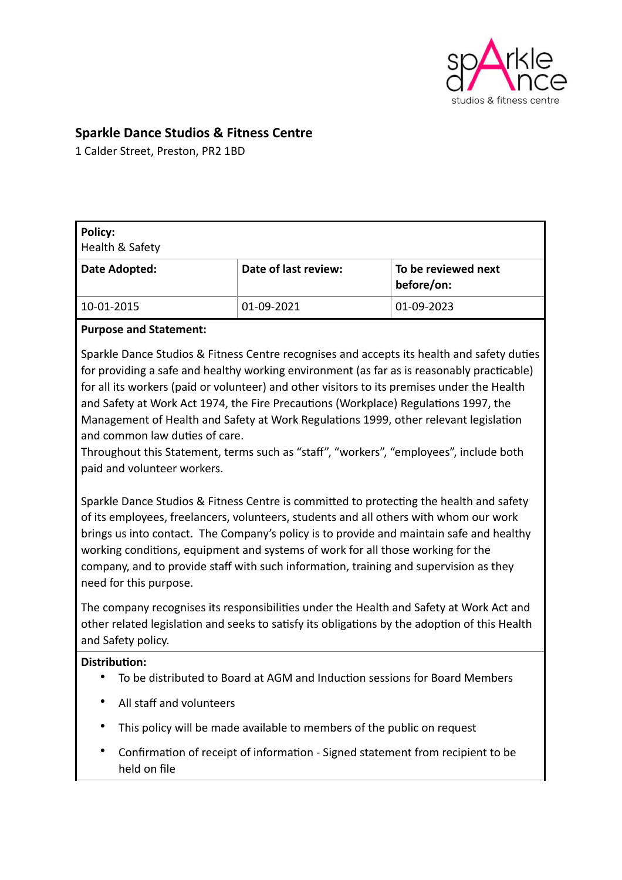

# **Sparkle Dance Studios & Fitness Centre**

1 Calder Street, Preston, PR2 1BD

| <b>Policy:</b><br>Health & Safety |                      |                                   |
|-----------------------------------|----------------------|-----------------------------------|
| Date Adopted:                     | Date of last review: | To be reviewed next<br>before/on: |
| 10-01-2015                        | 01-09-2021           | 01-09-2023                        |

#### **Purpose and Statement:**

Sparkle Dance Studios & Fitness Centre recognises and accepts its health and safety duties for providing a safe and healthy working environment (as far as is reasonably practicable) for all its workers (paid or volunteer) and other visitors to its premises under the Health and Safety at Work Act 1974, the Fire Precautions (Workplace) Regulations 1997, the Management of Health and Safety at Work Regulations 1999, other relevant legislation and common law duties of care.

Throughout this Statement, terms such as "staff", "workers", "employees", include both paid and volunteer workers.

Sparkle Dance Studios & Fitness Centre is committed to protecting the health and safety of its employees, freelancers, volunteers, students and all others with whom our work brings us into contact. The Company's policy is to provide and maintain safe and healthy working conditions, equipment and systems of work for all those working for the company, and to provide staff with such information, training and supervision as they need for this purpose.

The company recognises its responsibilities under the Health and Safety at Work Act and other related legislation and seeks to satisfy its obligations by the adoption of this Health and Safety policy.

#### **Distribution:**

- To be distributed to Board at AGM and Induction sessions for Board Members
- All staff and volunteers
- This policy will be made available to members of the public on request
- Confirmation of receipt of information Signed statement from recipient to be held on file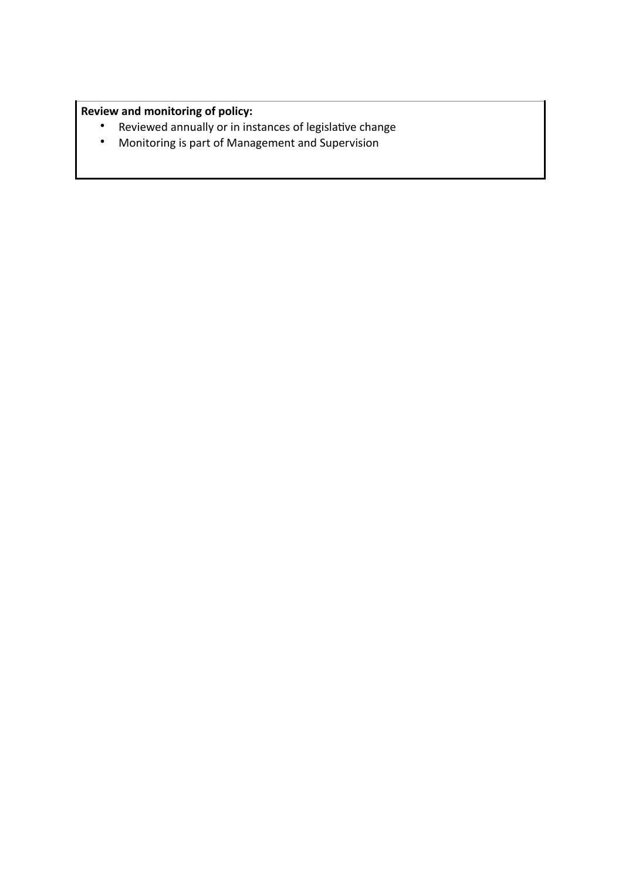# **Review and monitoring of policy:**

- Reviewed annually or in instances of legislative change
- Monitoring is part of Management and Supervision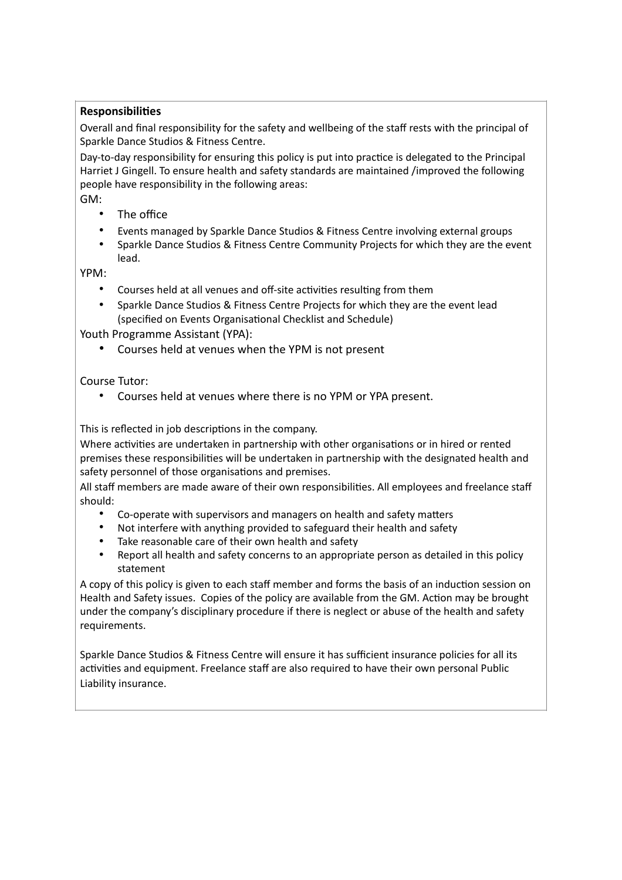#### **Responsibilities**

Overall and final responsibility for the safety and wellbeing of the staff rests with the principal of Sparkle Dance Studios & Fitness Centre.

Day-to-day responsibility for ensuring this policy is put into practice is delegated to the Principal Harriet J Gingell. To ensure health and safety standards are maintained /improved the following people have responsibility in the following areas:

GM:

- The office
- Events managed by Sparkle Dance Studios & Fitness Centre involving external groups
- Sparkle Dance Studios & Fitness Centre Community Projects for which they are the event lead.

YPM:

- Courses held at all venues and off-site activities resulting from them
- Sparkle Dance Studios & Fitness Centre Projects for which they are the event lead (specified on Events Organisational Checklist and Schedule)

Youth Programme Assistant (YPA):

• Courses held at venues when the YPM is not present

Course Tutor:

• Courses held at venues where there is no YPM or YPA present.

This is reflected in job descriptions in the company.

Where activities are undertaken in partnership with other organisations or in hired or rented premises these responsibilities will be undertaken in partnership with the designated health and safety personnel of those organisations and premises.

All staff members are made aware of their own responsibilities. All employees and freelance staff should:

- Co-operate with supervisors and managers on health and safety matters
- Not interfere with anything provided to safeguard their health and safety
- Take reasonable care of their own health and safety
- Report all health and safety concerns to an appropriate person as detailed in this policy statement

A copy of this policy is given to each staff member and forms the basis of an induction session on Health and Safety issues. Copies of the policy are available from the GM. Action may be brought under the company's disciplinary procedure if there is neglect or abuse of the health and safety requirements.

Sparkle Dance Studios & Fitness Centre will ensure it has sufficient insurance policies for all its activities and equipment. Freelance staff are also required to have their own personal Public Liability insurance.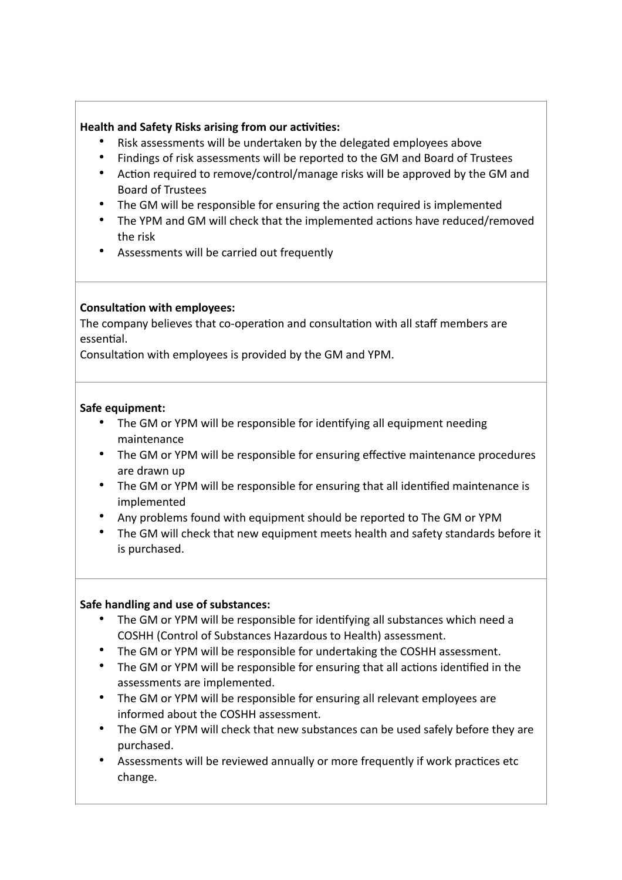### **Health and Safety Risks arising from our activities:**

- Risk assessments will be undertaken by the delegated employees above
- Findings of risk assessments will be reported to the GM and Board of Trustees
- Action required to remove/control/manage risks will be approved by the GM and Board of Trustees
- The GM will be responsible for ensuring the action required is implemented
- The YPM and GM will check that the implemented actions have reduced/removed the risk
- Assessments will be carried out frequently

# **Consultation with employees:**

The company believes that co-operation and consultation with all staff members are essential.

Consultation with employees is provided by the GM and YPM.

### **Safe equipment:**

- The GM or YPM will be responsible for identifying all equipment needing maintenance
- The GM or YPM will be responsible for ensuring effective maintenance procedures are drawn up
- The GM or YPM will be responsible for ensuring that all identified maintenance is implemented
- Any problems found with equipment should be reported to The GM or YPM
- The GM will check that new equipment meets health and safety standards before it is purchased.

# **Safe handling and use of substances:**

- The GM or YPM will be responsible for identifying all substances which need a COSHH (Control of Substances Hazardous to Health) assessment.
- The GM or YPM will be responsible for undertaking the COSHH assessment.
- The GM or YPM will be responsible for ensuring that all actions identified in the assessments are implemented.
- The GM or YPM will be responsible for ensuring all relevant employees are informed about the COSHH assessment.
- The GM or YPM will check that new substances can be used safely before they are purchased.
- Assessments will be reviewed annually or more frequently if work practices etc change.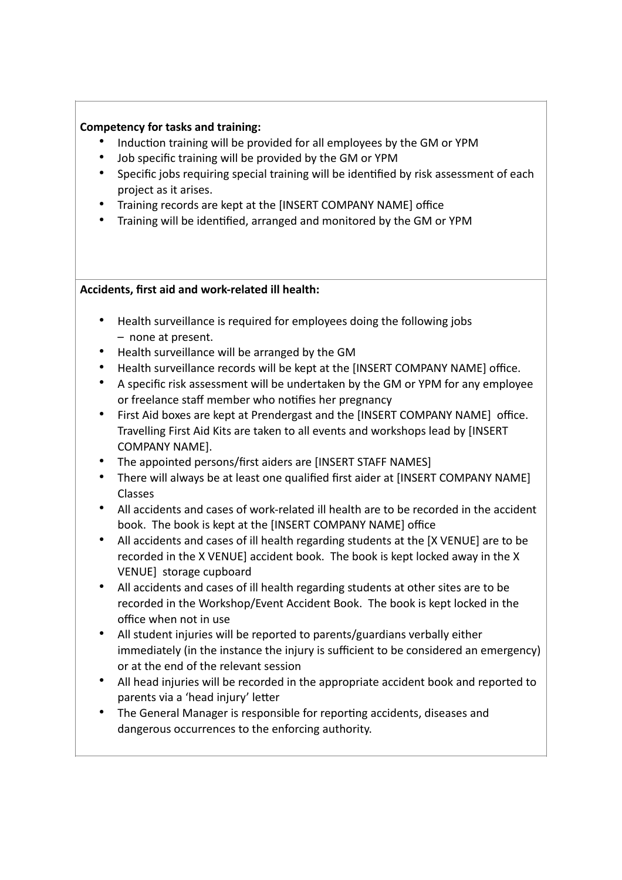#### **Competency for tasks and training:**

- Induction training will be provided for all employees by the GM or YPM
- Job specific training will be provided by the GM or YPM
- Specific jobs requiring special training will be identified by risk assessment of each project as it arises.
- Training records are kept at the [INSERT COMPANY NAME] office
- Training will be identified, arranged and monitored by the GM or YPM

### **Accidents, first aid and work-related ill health:**

- Health surveillance is required for employees doing the following jobs – none at present.
- Health surveillance will be arranged by the GM
- Health surveillance records will be kept at the [INSERT COMPANY NAME] office.
- A specific risk assessment will be undertaken by the GM or YPM for any employee or freelance staff member who notifies her pregnancy
- First Aid boxes are kept at Prendergast and the [INSERT COMPANY NAME] office. Travelling First Aid Kits are taken to all events and workshops lead by [INSERT COMPANY NAME].
- The appointed persons/first aiders are [INSERT STAFF NAMES]
- There will always be at least one qualified first aider at [INSERT COMPANY NAME] Classes
- All accidents and cases of work-related ill health are to be recorded in the accident book. The book is kept at the [INSERT COMPANY NAME] office
- All accidents and cases of ill health regarding students at the [X VENUE] are to be recorded in the X VENUE] accident book. The book is kept locked away in the X VENUE] storage cupboard
- All accidents and cases of ill health regarding students at other sites are to be recorded in the Workshop/Event Accident Book. The book is kept locked in the office when not in use
- All student injuries will be reported to parents/guardians verbally either immediately (in the instance the injury is sufficient to be considered an emergency) or at the end of the relevant session
- All head injuries will be recorded in the appropriate accident book and reported to parents via a 'head injury' letter
- The General Manager is responsible for reporting accidents, diseases and dangerous occurrences to the enforcing authority.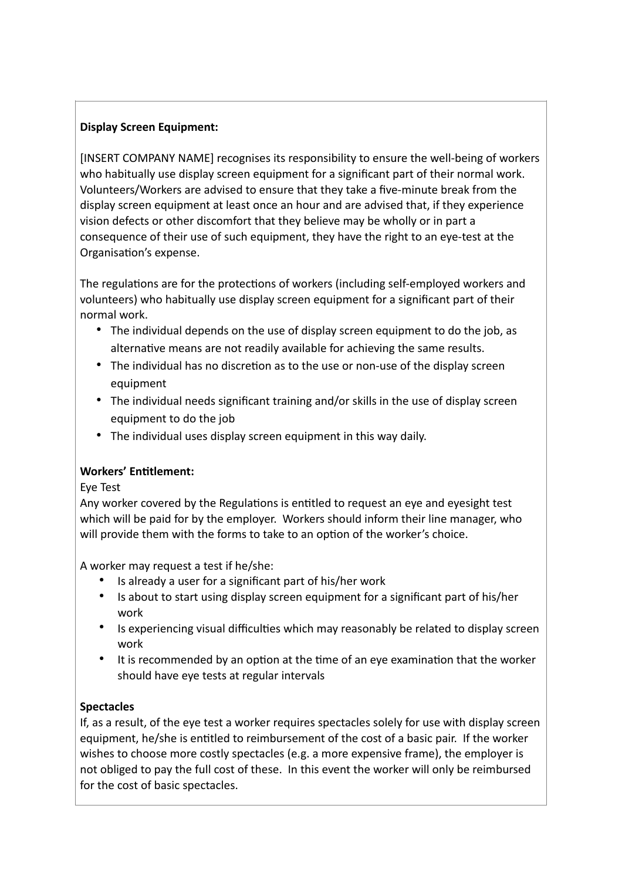# **Display Screen Equipment:**

[INSERT COMPANY NAME] recognises its responsibility to ensure the well-being of workers who habitually use display screen equipment for a significant part of their normal work. Volunteers/Workers are advised to ensure that they take a five-minute break from the display screen equipment at least once an hour and are advised that, if they experience vision defects or other discomfort that they believe may be wholly or in part a consequence of their use of such equipment, they have the right to an eye-test at the Organisation's expense.

The regulations are for the protections of workers (including self-employed workers and volunteers) who habitually use display screen equipment for a significant part of their normal work.

- The individual depends on the use of display screen equipment to do the job, as alternative means are not readily available for achieving the same results.
- The individual has no discretion as to the use or non-use of the display screen equipment
- The individual needs significant training and/or skills in the use of display screen equipment to do the job
- The individual uses display screen equipment in this way daily.

# **Workers' Entitlement:**

Eye Test

Any worker covered by the Regulations is entitled to request an eye and eyesight test which will be paid for by the employer. Workers should inform their line manager, who will provide them with the forms to take to an option of the worker's choice.

A worker may request a test if he/she:

- Is already a user for a significant part of his/her work
- Is about to start using display screen equipment for a significant part of his/her work
- Is experiencing visual difficulties which may reasonably be related to display screen work
- It is recommended by an option at the time of an eye examination that the worker should have eye tests at regular intervals

# **Spectacles**

If, as a result, of the eye test a worker requires spectacles solely for use with display screen equipment, he/she is entitled to reimbursement of the cost of a basic pair. If the worker wishes to choose more costly spectacles (e.g. a more expensive frame), the employer is not obliged to pay the full cost of these. In this event the worker will only be reimbursed for the cost of basic spectacles.